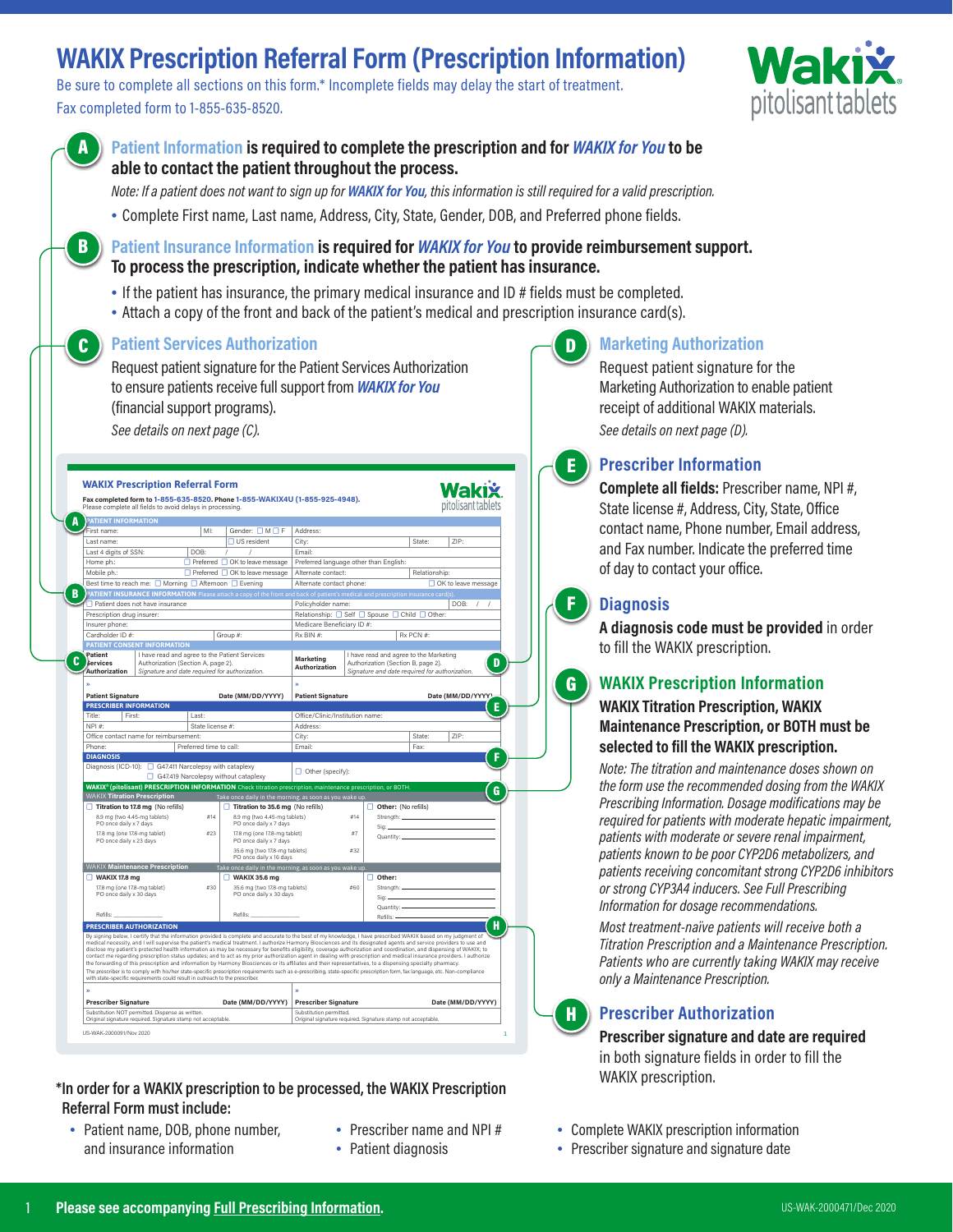# **WAKIX Prescription Referral Form (Prescription Information)**

Be sure to complete all sections on this form.\* Incomplete fields may delay the start of treatment. Fax completed form to 1-855-635-8520.



| <b>A</b> Patient Information is required to complete the prescription and for <i>WAKIX for You</i> to be |
|----------------------------------------------------------------------------------------------------------|
| able to contact the patient throughout the process.                                                      |

*Note: If a patient does not want to sign up for WAKIX for You, this information is still required for a valid prescription.*

• Complete First name, Last name, Address, City, State, Gender, DOB, and Preferred phone fields.

#### **Patient Insurance Information is required for** *WAKIX for You* **to provide reimbursement support. To process the prescription, indicate whether the patient has insurance.**

- If the patient has insurance, the primary medical insurance and ID # fields must be completed.
- Attach a copy of the front and back of the patient's medical and prescription insurance card(s).

### **Patient Services Authorization** C D

B

Request patient signature for the Patient Services Authorization to ensure patients receive full support from *WAKIX for You* (financial support programs). *See details on next page (C).*

|                                                                                                                                                                                      | Please complete all fields to avoid delays in processing.                                                                                            |                            | Fax completed form to 1-855-635-8520, Phone 1-855-WAKIX4U (1-855-925-4948).                                                                                                                                                                                                                                                                                                                                                                                                                                                                                                                                                                                                                                                                                                                                                                                                                                                                                                                                                              |                                                |     |                                                                                                                                |           | pitolisant tablets    |   |
|--------------------------------------------------------------------------------------------------------------------------------------------------------------------------------------|------------------------------------------------------------------------------------------------------------------------------------------------------|----------------------------|------------------------------------------------------------------------------------------------------------------------------------------------------------------------------------------------------------------------------------------------------------------------------------------------------------------------------------------------------------------------------------------------------------------------------------------------------------------------------------------------------------------------------------------------------------------------------------------------------------------------------------------------------------------------------------------------------------------------------------------------------------------------------------------------------------------------------------------------------------------------------------------------------------------------------------------------------------------------------------------------------------------------------------------|------------------------------------------------|-----|--------------------------------------------------------------------------------------------------------------------------------|-----------|-----------------------|---|
| <b>PATIENT INFORMATION</b>                                                                                                                                                           |                                                                                                                                                      |                            |                                                                                                                                                                                                                                                                                                                                                                                                                                                                                                                                                                                                                                                                                                                                                                                                                                                                                                                                                                                                                                          |                                                |     |                                                                                                                                |           |                       |   |
| MI:<br>First name:                                                                                                                                                                   |                                                                                                                                                      | Gender: □M□F               | Address:                                                                                                                                                                                                                                                                                                                                                                                                                                                                                                                                                                                                                                                                                                                                                                                                                                                                                                                                                                                                                                 |                                                |     |                                                                                                                                |           |                       |   |
| Last name:                                                                                                                                                                           |                                                                                                                                                      |                            | □ US resident                                                                                                                                                                                                                                                                                                                                                                                                                                                                                                                                                                                                                                                                                                                                                                                                                                                                                                                                                                                                                            | City:                                          |     |                                                                                                                                | State:    | ZIP:                  |   |
| DOB:<br>Last 4 digits of SSN:                                                                                                                                                        |                                                                                                                                                      |                            | $\sqrt{2}$<br>$\prime$                                                                                                                                                                                                                                                                                                                                                                                                                                                                                                                                                                                                                                                                                                                                                                                                                                                                                                                                                                                                                   | Email:                                         |     |                                                                                                                                |           |                       |   |
| Home ph.:                                                                                                                                                                            |                                                                                                                                                      |                            | □ Preferred □ OK to leave message                                                                                                                                                                                                                                                                                                                                                                                                                                                                                                                                                                                                                                                                                                                                                                                                                                                                                                                                                                                                        | Preferred language other than English:         |     |                                                                                                                                |           |                       |   |
| Mobile ph.:<br>□ Preferred □ OK to leave message                                                                                                                                     |                                                                                                                                                      |                            |                                                                                                                                                                                                                                                                                                                                                                                                                                                                                                                                                                                                                                                                                                                                                                                                                                                                                                                                                                                                                                          | Alternate contact:<br>Relationship:            |     |                                                                                                                                |           |                       |   |
|                                                                                                                                                                                      | Best time to reach me: □ Morning □ Afternoon □ Evening                                                                                               |                            |                                                                                                                                                                                                                                                                                                                                                                                                                                                                                                                                                                                                                                                                                                                                                                                                                                                                                                                                                                                                                                          | Alternate contact phone:                       |     |                                                                                                                                |           | □ OK to leave message |   |
|                                                                                                                                                                                      |                                                                                                                                                      |                            | PATIENT INSURANCE INFORMATION Please attach a copy of the front and back of patient's medical and prescription insurance card(s).                                                                                                                                                                                                                                                                                                                                                                                                                                                                                                                                                                                                                                                                                                                                                                                                                                                                                                        |                                                |     |                                                                                                                                |           |                       |   |
|                                                                                                                                                                                      | Patient does not have insurance                                                                                                                      |                            |                                                                                                                                                                                                                                                                                                                                                                                                                                                                                                                                                                                                                                                                                                                                                                                                                                                                                                                                                                                                                                          | Policyholder name:<br>DOB:                     |     |                                                                                                                                |           |                       |   |
| Prescription drug insurer:                                                                                                                                                           |                                                                                                                                                      |                            |                                                                                                                                                                                                                                                                                                                                                                                                                                                                                                                                                                                                                                                                                                                                                                                                                                                                                                                                                                                                                                          | Relationship: □ Self □ Spouse □ Child □ Other: |     |                                                                                                                                |           |                       |   |
| Insurer phone:                                                                                                                                                                       |                                                                                                                                                      | Medicare Beneficiary ID #: |                                                                                                                                                                                                                                                                                                                                                                                                                                                                                                                                                                                                                                                                                                                                                                                                                                                                                                                                                                                                                                          |                                                |     |                                                                                                                                |           |                       |   |
| Cardholder ID #:                                                                                                                                                                     |                                                                                                                                                      |                            | Group #:                                                                                                                                                                                                                                                                                                                                                                                                                                                                                                                                                                                                                                                                                                                                                                                                                                                                                                                                                                                                                                 | Rx BIN #:                                      |     |                                                                                                                                | Rx PCN #: |                       |   |
|                                                                                                                                                                                      | PATIENT CONSENT INFORMATION                                                                                                                          |                            |                                                                                                                                                                                                                                                                                                                                                                                                                                                                                                                                                                                                                                                                                                                                                                                                                                                                                                                                                                                                                                          |                                                |     |                                                                                                                                |           |                       |   |
| Patient<br>I have read and agree to the Patient Services<br><b>Services</b><br>Authorization (Section A, page 2).<br>Authorization<br>Signature and date required for authorization. |                                                                                                                                                      |                            |                                                                                                                                                                                                                                                                                                                                                                                                                                                                                                                                                                                                                                                                                                                                                                                                                                                                                                                                                                                                                                          | <b>Marketing</b><br>Authorization              |     | I have read and agree to the Marketing<br>Authorization (Section B, page 2).<br>Signature and date required for authorization. |           |                       | D |
|                                                                                                                                                                                      |                                                                                                                                                      |                            |                                                                                                                                                                                                                                                                                                                                                                                                                                                                                                                                                                                                                                                                                                                                                                                                                                                                                                                                                                                                                                          |                                                |     |                                                                                                                                |           |                       |   |
| <b>Patient Signature</b>                                                                                                                                                             |                                                                                                                                                      |                            | Date (MM/DD/YYYY)                                                                                                                                                                                                                                                                                                                                                                                                                                                                                                                                                                                                                                                                                                                                                                                                                                                                                                                                                                                                                        | <b>Patient Signature</b>                       |     |                                                                                                                                |           | Date (MM/DD/YYYY)     |   |
| <b>PRESCRIBER INFORMATION</b>                                                                                                                                                        |                                                                                                                                                      |                            |                                                                                                                                                                                                                                                                                                                                                                                                                                                                                                                                                                                                                                                                                                                                                                                                                                                                                                                                                                                                                                          |                                                |     |                                                                                                                                |           |                       |   |
| Title:<br>First:                                                                                                                                                                     |                                                                                                                                                      | I ast:                     |                                                                                                                                                                                                                                                                                                                                                                                                                                                                                                                                                                                                                                                                                                                                                                                                                                                                                                                                                                                                                                          | Office/Clinic/Institution name:                |     |                                                                                                                                |           |                       |   |
| NPI #:                                                                                                                                                                               |                                                                                                                                                      | State license #:           |                                                                                                                                                                                                                                                                                                                                                                                                                                                                                                                                                                                                                                                                                                                                                                                                                                                                                                                                                                                                                                          | Address:                                       |     |                                                                                                                                |           |                       |   |
| Office contact name for reimbursement:                                                                                                                                               |                                                                                                                                                      |                            |                                                                                                                                                                                                                                                                                                                                                                                                                                                                                                                                                                                                                                                                                                                                                                                                                                                                                                                                                                                                                                          | City:                                          |     |                                                                                                                                | State:    | ZIP:                  |   |
| Phone:<br>Preferred time to call:                                                                                                                                                    |                                                                                                                                                      |                            |                                                                                                                                                                                                                                                                                                                                                                                                                                                                                                                                                                                                                                                                                                                                                                                                                                                                                                                                                                                                                                          | Email:                                         |     |                                                                                                                                | Fax:      |                       |   |
| <b>DIAGNOSIS</b>                                                                                                                                                                     |                                                                                                                                                      |                            |                                                                                                                                                                                                                                                                                                                                                                                                                                                                                                                                                                                                                                                                                                                                                                                                                                                                                                                                                                                                                                          |                                                |     |                                                                                                                                |           |                       |   |
| Diagnosis (ICD-10): □ G47.411 Narcolepsy with cataplexy                                                                                                                              | $\Box$ Other (specify):<br>WAKIX <sup>®</sup> (pitolisant) PRESCRIPTION INFORMATION Check titration prescription, maintenance prescription, or BOTH. |                            |                                                                                                                                                                                                                                                                                                                                                                                                                                                                                                                                                                                                                                                                                                                                                                                                                                                                                                                                                                                                                                          |                                                |     |                                                                                                                                |           |                       |   |
| <b>WAKIX Titration Prescription</b>                                                                                                                                                  |                                                                                                                                                      |                            |                                                                                                                                                                                                                                                                                                                                                                                                                                                                                                                                                                                                                                                                                                                                                                                                                                                                                                                                                                                                                                          |                                                |     |                                                                                                                                |           |                       | G |
| $\Box$ Titration to 17.8 mg (No refills)                                                                                                                                             |                                                                                                                                                      |                            | Take once daily in the morning, as soon as you wake up.<br>$\Box$ Titration to 35.6 mg (No refills)                                                                                                                                                                                                                                                                                                                                                                                                                                                                                                                                                                                                                                                                                                                                                                                                                                                                                                                                      |                                                |     | Other: (No refills)                                                                                                            |           |                       |   |
| 8.9 mg (two 4.45-mg tablets)                                                                                                                                                         |                                                                                                                                                      | #14                        | 8.9 mg (two 4.45-mg tablets)                                                                                                                                                                                                                                                                                                                                                                                                                                                                                                                                                                                                                                                                                                                                                                                                                                                                                                                                                                                                             |                                                | #14 | Strength:                                                                                                                      |           |                       |   |
| PO once daily x 7 days                                                                                                                                                               |                                                                                                                                                      |                            | PO once daily x 7 days                                                                                                                                                                                                                                                                                                                                                                                                                                                                                                                                                                                                                                                                                                                                                                                                                                                                                                                                                                                                                   |                                                |     | Sig:                                                                                                                           |           |                       |   |
| 17.8 mg (one 17.8-mg tablet)<br>PO once daily x 23 days                                                                                                                              |                                                                                                                                                      | #23                        | 17.8 mg (one 17.8-mg tablet)<br>PO once daily x 7 days                                                                                                                                                                                                                                                                                                                                                                                                                                                                                                                                                                                                                                                                                                                                                                                                                                                                                                                                                                                   |                                                | #7  | Quantity: _                                                                                                                    |           |                       |   |
|                                                                                                                                                                                      |                                                                                                                                                      |                            | 35.6 mg (two 17.8-mg tablets)<br>PO once daily x 16 days                                                                                                                                                                                                                                                                                                                                                                                                                                                                                                                                                                                                                                                                                                                                                                                                                                                                                                                                                                                 |                                                | #32 |                                                                                                                                |           |                       |   |
|                                                                                                                                                                                      | <b>WAKIX Maintenance Prescription</b>                                                                                                                |                            | Take once daily in the morning, as soon as you wake up.                                                                                                                                                                                                                                                                                                                                                                                                                                                                                                                                                                                                                                                                                                                                                                                                                                                                                                                                                                                  |                                                |     |                                                                                                                                |           |                       |   |
| $\Box$ WAKIX 17.8 mg                                                                                                                                                                 |                                                                                                                                                      |                            | WAKIX 35.6 mg                                                                                                                                                                                                                                                                                                                                                                                                                                                                                                                                                                                                                                                                                                                                                                                                                                                                                                                                                                                                                            |                                                |     | $\Box$ Other:                                                                                                                  |           |                       |   |
| 17.8 mg (one 17.8-mg tablet)                                                                                                                                                         |                                                                                                                                                      | #30                        | 35.6 mg (two 17.8-mg tablets)                                                                                                                                                                                                                                                                                                                                                                                                                                                                                                                                                                                                                                                                                                                                                                                                                                                                                                                                                                                                            |                                                | #60 | Strength:                                                                                                                      |           |                       |   |
| PO once daily x 30 days                                                                                                                                                              |                                                                                                                                                      |                            | PO once daily x 30 days                                                                                                                                                                                                                                                                                                                                                                                                                                                                                                                                                                                                                                                                                                                                                                                                                                                                                                                                                                                                                  |                                                |     | Sign:                                                                                                                          |           |                       |   |
|                                                                                                                                                                                      |                                                                                                                                                      |                            |                                                                                                                                                                                                                                                                                                                                                                                                                                                                                                                                                                                                                                                                                                                                                                                                                                                                                                                                                                                                                                          |                                                |     | Quantity: -                                                                                                                    |           |                       |   |
| Refills:                                                                                                                                                                             |                                                                                                                                                      |                            | Refills:                                                                                                                                                                                                                                                                                                                                                                                                                                                                                                                                                                                                                                                                                                                                                                                                                                                                                                                                                                                                                                 |                                                |     | Refills: -                                                                                                                     |           |                       |   |
| <b>PRESCRIBER AUTHORIZATION</b>                                                                                                                                                      |                                                                                                                                                      |                            |                                                                                                                                                                                                                                                                                                                                                                                                                                                                                                                                                                                                                                                                                                                                                                                                                                                                                                                                                                                                                                          |                                                |     |                                                                                                                                |           |                       |   |
|                                                                                                                                                                                      |                                                                                                                                                      |                            | By signing below, I certify that the information provided is complete and accurate to the best of my knowledge, I have prescribed WAKIX based on my judgment of<br>medical necessity, and I will supervise the patient's medical treatment. I authorize Harmony Biosciences and its designated agents and service providers to use and<br>disclose my patient's protected health information as may be necessary for benefits eligibility, coverage authorization and coordination, and dispensing of WAKIX; to<br>contact me regarding prescription status updates; and to act as my prior authorization agent in dealing with prescription and medical insurance providers. I authorize<br>the forwarding of this prescription and information by Harmony Biosciences or its affiliates and their representatives, to a dispensing specialty pharmacy.<br>The prescriber is to comply with his/her state-specific prescription requirements such as e-prescribing, state-specific prescription form, fax language, etc. Non-compliance |                                                |     |                                                                                                                                |           |                       |   |
|                                                                                                                                                                                      | with state-specific requirements could result in outreach to the prescriber.                                                                         |                            |                                                                                                                                                                                                                                                                                                                                                                                                                                                                                                                                                                                                                                                                                                                                                                                                                                                                                                                                                                                                                                          |                                                |     |                                                                                                                                |           |                       |   |
|                                                                                                                                                                                      |                                                                                                                                                      |                            |                                                                                                                                                                                                                                                                                                                                                                                                                                                                                                                                                                                                                                                                                                                                                                                                                                                                                                                                                                                                                                          |                                                |     |                                                                                                                                |           |                       |   |
|                                                                                                                                                                                      | <b>Prescriber Signature</b>                                                                                                                          |                            |                                                                                                                                                                                                                                                                                                                                                                                                                                                                                                                                                                                                                                                                                                                                                                                                                                                                                                                                                                                                                                          | <b>Prescriber Signature</b>                    |     |                                                                                                                                |           |                       |   |
| œ                                                                                                                                                                                    |                                                                                                                                                      |                            | Date (MM/DD/YYYY)                                                                                                                                                                                                                                                                                                                                                                                                                                                                                                                                                                                                                                                                                                                                                                                                                                                                                                                                                                                                                        |                                                |     |                                                                                                                                |           | Date (MM/DD/YYYY)     |   |

#### **\*In order for a WAKIX prescription to be processed, the WAKIX Prescription Referral Form must include:**

- Patient name, DOB, phone number, and insurance information
- Prescriber name and NPI #
- Patient diagnosis



#### **Marketing Authorization**

Request patient signature for the Marketing Authorization to enable patient receipt of additional WAKIX materials. *See details on next page (D).*



F

G

#### **Prescriber Information**

**Complete all fields:** Prescriber name, NPI #, State license #, Address, City, State, Office contact name, Phone number, Email address, and Fax number. Indicate the preferred time of day to contact your office.

#### **Diagnosis**

**A diagnosis code must be provided** in order to fill the WAKIX prescription.

#### **WAKIX Prescription Information**

**WAKIX Titration Prescription, WAKIX Maintenance Prescription, or BOTH must be selected to fill the WAKIX prescription.**

*Note: The titration and maintenance doses shown on the form use the recommended dosing from the WAKIX Prescribing Information. Dosage modifications may be required for patients with moderate hepatic impairment, patients with moderate or severe renal impairment, patients known to be poor CYP2D6 metabolizers, and patients receiving concomitant strong CYP2D6 inhibitors or strong CYP3A4 inducers. See Full Prescribing Information for dosage recommendations.*

*Most treatment-naïve patients will receive both a Titration Prescription and a Maintenance Prescription. Patients who are currently taking WAKIX may receive only a Maintenance Prescription.*



#### **Prescriber Authorization**

**Prescriber signature and date are required** in both signature fields in order to fill the WAKIX prescription.

- Complete WAKIX prescription information
- Prescriber signature and signature date